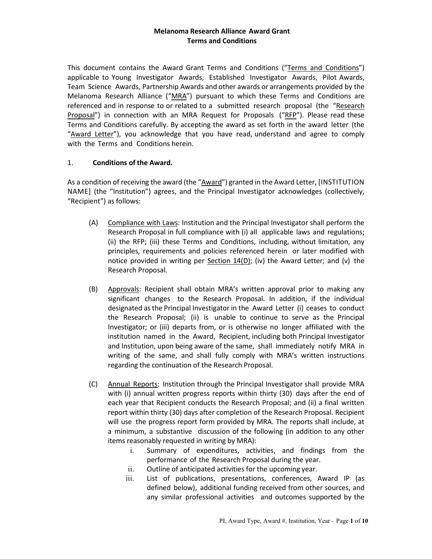This document contains the Award Grant Terms and Conditions ("Terms and Conditions") applicable to Young Investigator Awards, Established Investigator Awards, Pilot Awards, Team Science Awards, Partnership Awards and other awards or arrangements provided by the Melanoma Research Alliance ("MRA") pursuant to which these Terms and Conditions are referenced and in response to or related to a submitted research proposal (the "Research Proposal") in connection with an MRA Request for Proposals ("RFP"). Please read these Terms and Conditions carefully. By accepting the award as set forth in the award letter (the "Award Letter"), you acknowledge that you have read, understand and agree to comply with the Terms and Conditions herein.

## 1. **Conditions of the Award.**

As a condition of receiving the award (the "Award") granted in the Award Letter, [INSTITUTION NAME] (the "Institution") agrees, and the Principal Investigator acknowledges (collectively, "Recipient") as follows:

- (A) Compliance with Laws: Institution and the Principal Investigator shall perform the Research Proposal in full compliance with (i) all applicable laws and regulations; (ii) the RFP; (iii) these Terms and Conditions, including, without limitation, any principles, requirements and policies referenced herein or later modified with notice provided in writing per Section 14(D); (iv) the Award Letter; and (v) the Research Proposal.
- (B) Approvals: Recipient shall obtain MRA's written approval prior to making any significant changes to the Research Proposal. In addition, if the individual designated as the Principal Investigator in the Award Letter (i) ceases to conduct the Research Proposal; (ii) is unable to continue to serve as the Principal Investigator; or (iii) departs from, or is otherwise no longer affiliated with the institution named in the Award, Recipient, including both Principal Investigator and Institution, upon being aware of the same, shall immediately notify MRA in writing of the same, and shall fully comply with MRA's written instructions regarding the continuation of the Research Proposal.
- (C) Annual Reports: Institution through the Principal Investigator shall provide MRA with (i) annual written progress reports within thirty (30) days after the end of each year that Recipient conducts the Research Proposal; and (ii) a final written report within thirty (30) days after completion of the Research Proposal. Recipient will use the progress report form provided by MRA. The reports shall include, at a minimum, a substantive discussion of the following (in addition to any other items reasonably requested in writing by MRA):
	- i. Summary of expenditures, activities, and findings from the performance of the Research Proposal during the year.
	- ii. Outline of anticipated activities for the upcoming year.
	- iii. List of publications, presentations, conferences, Award IP (as defined below), additional funding received from other sources, and any similar professional activities and outcomes supported by the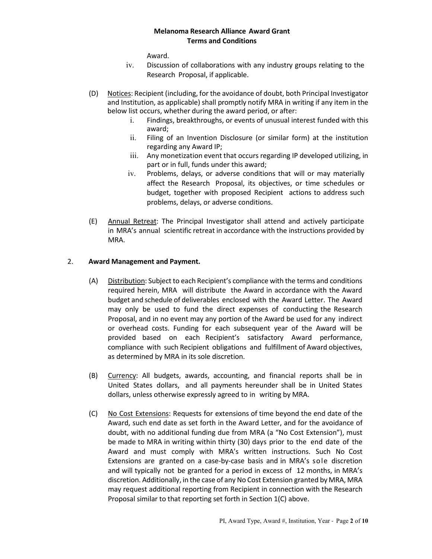Award.

- iv. Discussion of collaborations with any industry groups relating to the Research Proposal, if applicable.
- (D) Notices: Recipient (including, for the avoidance of doubt, both Principal Investigator and Institution, as applicable) shall promptly notify MRA in writing if any item in the below list occurs, whether during the award period, or after:
	- i. Findings, breakthroughs, or events of unusual interest funded with this award;
	- ii. Filing of an Invention Disclosure (or similar form) at the institution regarding any Award IP;
	- iii. Any monetization event that occurs regarding IP developed utilizing, in part or in full, funds under this award;
	- iv. Problems, delays, or adverse conditions that will or may materially affect the Research Proposal, its objectives, or time schedules or budget, together with proposed Recipient actions to address such problems, delays, or adverse conditions.
- (E) Annual Retreat: The Principal Investigator shall attend and actively participate in MRA's annual scientific retreat in accordance with the instructions provided by MRA.

# 2. **Award Management and Payment.**

- (A) Distribution: Subject to each Recipient's compliance with the terms and conditions required herein, MRA will distribute the Award in accordance with the Award budget and schedule of deliverables enclosed with the Award Letter. The Award may only be used to fund the direct expenses of conducting the Research Proposal, and in no event may any portion of the Award be used for any indirect or overhead costs. Funding for each subsequent year of the Award will be provided based on each Recipient's satisfactory Award performance, compliance with such Recipient obligations and fulfillment of Award objectives, as determined by MRA in its sole discretion.
- (B) Currency: All budgets, awards, accounting, and financial reports shall be in United States dollars, and all payments hereunder shall be in United States dollars, unless otherwise expressly agreed to in writing by MRA.
- (C) No Cost Extensions: Requests for extensions of time beyond the end date of the Award, such end date as set forth in the Award Letter, and for the avoidance of doubt, with no additional funding due from MRA (a "No Cost Extension"), must be made to MRA in writing within thirty (30) days prior to the end date of the Award and must comply with MRA's written instructions. Such No Cost Extensions are granted on a case-by-case basis and in MRA's sole discretion and will typically not be granted for a period in excess of 12 months, in MRA's discretion. Additionally, in the case of any No Cost Extension granted by MRA, MRA may request additional reporting from Recipient in connection with the Research Proposal similar to that reporting set forth in Section 1(C) above.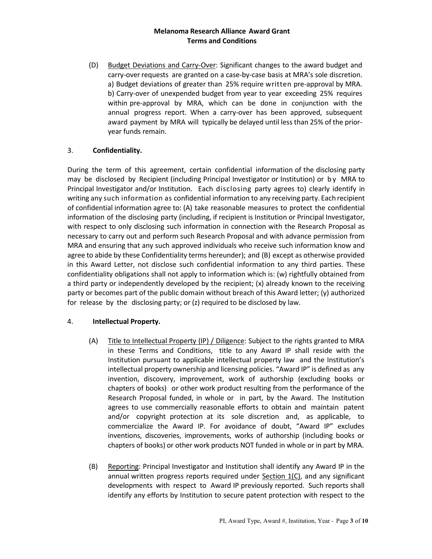(D) Budget Deviations and Carry-Over: Significant changes to the award budget and carry-over requests are granted on a case-by-case basis at MRA's sole discretion. a) Budget deviations of greater than 25% require written pre-approval by MRA. b) Carry-over of unexpended budget from year to year exceeding 25% requires within pre-approval by MRA, which can be done in conjunction with the annual progress report. When a carry-over has been approved, subsequent award payment by MRA will typically be delayed until less than 25% of the prioryear funds remain.

## 3. **Confidentiality.**

During the term of this agreement, certain confidential information of the disclosing party may be disclosed by Recipient (including Principal Investigator or Institution) or by MRA to Principal Investigator and/or Institution. Each disclosing party agrees to) clearly identify in writing any such information as confidential information to any receiving party. Each recipient of confidential information agree to: (A) take reasonable measures to protect the confidential information of the disclosing party (including, if recipient is Institution or Principal Investigator, with respect to only disclosing such information in connection with the Research Proposal as necessary to carry out and perform such Research Proposal and with advance permission from MRA and ensuring that any such approved individuals who receive such information know and agree to abide by these Confidentiality terms hereunder); and (B) except as otherwise provided in this Award Letter, not disclose such confidential information to any third parties. These confidentiality obligations shall not apply to information which is: (w) rightfully obtained from a third party or independently developed by the recipient; (x) already known to the receiving party or becomes part of the public domain without breach of this Award letter; (y) authorized for release by the disclosing party; or (z) required to be disclosed by law.

## 4. **Intellectual Property.**

- (A) Title to Intellectual Property (IP) / Diligence: Subject to the rights granted to MRA in these Terms and Conditions, title to any Award IP shall reside with the Institution pursuant to applicable intellectual property law and the Institution's intellectual property ownership and licensing policies. "Award IP" is defined as any invention, discovery, improvement, work of authorship (excluding books or chapters of books) or other work product resulting from the performance of the Research Proposal funded, in whole or in part, by the Award. The Institution agrees to use commercially reasonable efforts to obtain and maintain patent and/or copyright protection at its sole discretion and, as applicable, to commercialize the Award IP. For avoidance of doubt, "Award IP" excludes inventions, discoveries, improvements, works of authorship (including books or chapters of books) or other work products NOT funded in whole or in part by MRA.
- (B) Reporting: Principal Investigator and Institution shall identify any Award IP in the annual written progress reports required under  $Section 1(C)$ , and any significant developments with respect to Award IP previously reported. Such reports shall identify any efforts by Institution to secure patent protection with respect to the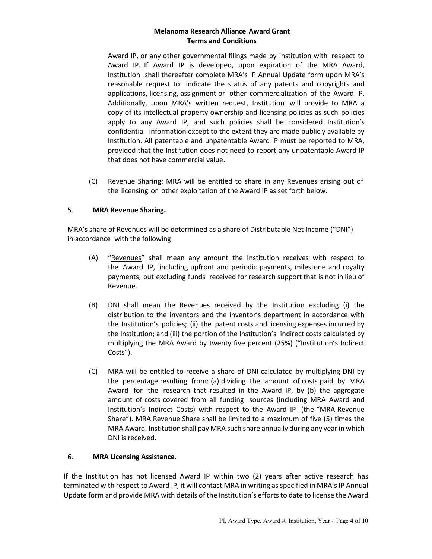Award IP, or any other governmental filings made by Institution with respect to Award IP. If Award IP is developed, upon expiration of the MRA Award, Institution shall thereafter complete MRA's IP Annual Update form upon MRA's reasonable request to indicate the status of any patents and copyrights and applications, licensing, assignment or other commercialization of the Award IP. Additionally, upon MRA's written request, Institution will provide to MRA a copy of its intellectual property ownership and licensing policies as such policies apply to any Award IP, and such policies shall be considered Institution's confidential information except to the extent they are made publicly available by Institution. All patentable and unpatentable Award IP must be reported to MRA, provided that the Institution does not need to report any unpatentable Award IP that does not have commercial value.

(C) Revenue Sharing: MRA will be entitled to share in any Revenues arising out of the licensing or other exploitation of the Award IP as set forth below.

## 5. **MRA Revenue Sharing.**

MRA's share of Revenues will be determined as a share of Distributable Net Income ("DNI") in accordance with the following:

- (A) "Revenues" shall mean any amount the Institution receives with respect to the Award IP, including upfront and periodic payments, milestone and royalty payments, but excluding funds received for research support that is not in lieu of Revenue.
- (B) DNI shall mean the Revenues received by the Institution excluding (i) the distribution to the inventors and the inventor's department in accordance with the Institution's policies; (ii) the patent costs and licensing expenses incurred by the Institution; and (iii) the portion of the Institution's indirect costs calculated by multiplying the MRA Award by twenty five percent (25%) ("Institution's Indirect Costs").
- (C) MRA will be entitled to receive a share of DNI calculated by multiplying DNI by the percentage resulting from: (a) dividing the amount of costs paid by MRA Award for the research that resulted in the Award IP, by (b) the aggregate amount of costs covered from all funding sources (including MRA Award and Institution's Indirect Costs) with respect to the Award IP (the "MRA Revenue Share"). MRA Revenue Share shall be limited to a maximum of five (5) times the MRA Award. Institution shall pay MRA such share annually during any year in which DNI is received.

## 6. **MRA Licensing Assistance.**

If the Institution has not licensed Award IP within two (2) years after active research has terminated with respect to Award IP, it will contact MRA in writing as specified in MRA's IP Annual Update form and provide MRA with details of the Institution's efforts to date to license the Award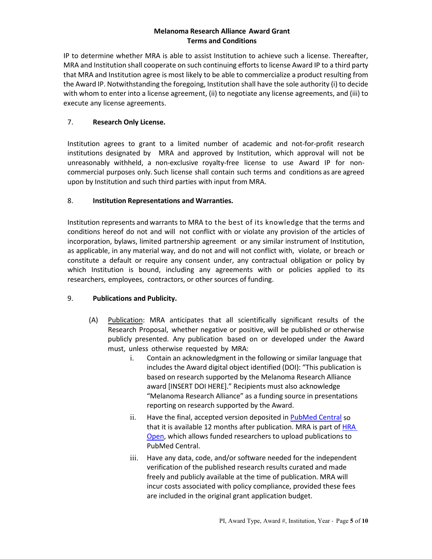IP to determine whether MRA is able to assist Institution to achieve such a license. Thereafter, MRA and Institution shall cooperate on such continuing efforts to license Award IP to a third party that MRA and Institution agree is most likely to be able to commercialize a product resulting from the Award IP. Notwithstanding the foregoing, Institution shall have the sole authority (i) to decide with whom to enter into a license agreement, (ii) to negotiate any license agreements, and (iii) to execute any license agreements.

# 7. **Research Only License.**

Institution agrees to grant to a limited number of academic and not-for-profit research institutions designated by MRA and approved by Institution, which approval will not be unreasonably withheld, a non-exclusive royalty-free license to use Award IP for noncommercial purposes only. Such license shall contain such terms and conditions as are agreed upon by Institution and such third parties with input from MRA.

## 8. **Institution Representations and Warranties.**

Institution represents and warrants to MRA to the best of its knowledge that the terms and conditions hereof do not and will not conflict with or violate any provision of the articles of incorporation, bylaws, limited partnership agreement or any similar instrument of Institution, as applicable, in any material way, and do not and will not conflict with, violate, or breach or constitute a default or require any consent under, any contractual obligation or policy by which Institution is bound, including any agreements with or policies applied to its researchers, employees, contractors, or other sources of funding.

# 9. **Publications and Publicity.**

- (A) Publication: MRA anticipates that all scientifically significant results of the Research Proposal, whether negative or positive, will be published or otherwise publicly presented. Any publication based on or developed under the Award must, unless otherwise requested by MRA:
	- i. Contain an acknowledgment in the following or similar language that includes the Award digital object identified (DOI): "This publication is based on research supported by the Melanoma Research Alliance award [INSERT DOI HERE]." Recipients must also acknowledge "Melanoma Research Alliance" as a funding source in presentations reporting on research supported by the Award.
	- ii. Have the final, accepted version deposited i[n PubMed Central](https://www.ncbi.nlm.nih.gov/pmc/) so that it is available 12 months after publication. MRA is part of HRA [Open,](https://www.healthra.org/hra-platforms/hra-open/) which allows funded researchers to upload publications to PubMed Central.
	- iii. Have any data, code, and/or software needed for the independent verification of the published research results curated and made freely and publicly available at the time of publication. MRA will incur costs associated with policy compliance, provided these fees are included in the original grant application budget.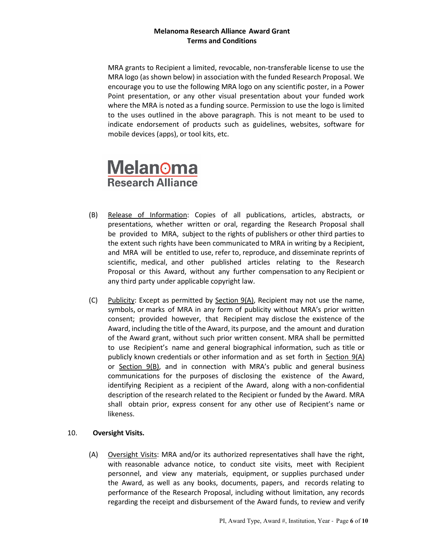MRA grants to Recipient a limited, revocable, non-transferable license to use the MRA logo (as shown below) in association with the funded Research Proposal. We encourage you to use the following MRA logo on any scientific poster, in a Power Point presentation, or any other visual presentation about your funded work where the MRA is noted as a funding source. Permission to use the logo is limited to the uses outlined in the above paragraph. This is not meant to be used to indicate endorsement of products such as guidelines, websites, software for mobile devices (apps), or tool kits, etc.

# **Melanoma Research Alliance**

- (B) Release of Information: Copies of all publications, articles, abstracts, or presentations, whether written or oral, regarding the Research Proposal shall be provided to MRA, subject to the rights of publishers or other third parties to the extent such rights have been communicated to MRA in writing by a Recipient, and MRA will be entitled to use, refer to, reproduce, and disseminate reprints of scientific, medical, and other published articles relating to the Research Proposal or this Award, without any further compensation to any Recipient or any third party under applicable copyright law.
- (C) Publicity: Except as permitted by Section 9(A), Recipient may not use the name, symbols, or marks of MRA in any form of publicity without MRA's prior written consent; provided however, that Recipient may disclose the existence of the Award, including the title of the Award, its purpose, and the amount and duration of the Award grant, without such prior written consent. MRA shall be permitted to use Recipient's name and general biographical information, such as title or publicly known credentials or other information and as set forth in Section 9(A) or Section 9(B), and in connection with MRA's public and general business communications for the purposes of disclosing the existence of the Award, identifying Recipient as a recipient of the Award, along with a non-confidential description of the research related to the Recipient or funded by the Award. MRA shall obtain prior, express consent for any other use of Recipient's name or likeness.

## 10. **Oversight Visits.**

(A) Oversight Visits: MRA and/or its authorized representatives shall have the right, with reasonable advance notice, to conduct site visits, meet with Recipient personnel, and view any materials, equipment, or supplies purchased under the Award, as well as any books, documents, papers, and records relating to performance of the Research Proposal, including without limitation, any records regarding the receipt and disbursement of the Award funds, to review and verify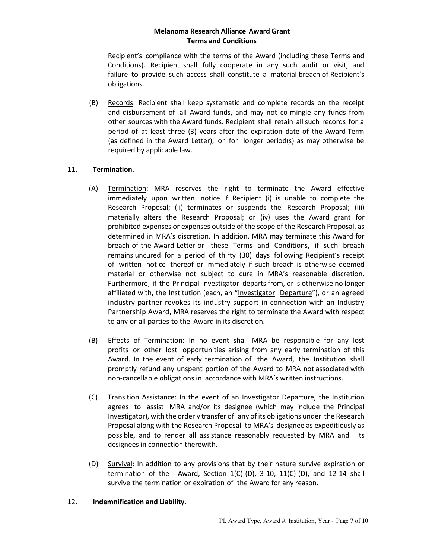Recipient's compliance with the terms of the Award (including these Terms and Conditions). Recipient shall fully cooperate in any such audit or visit, and failure to provide such access shall constitute a material breach of Recipient's obligations.

(B) Records: Recipient shall keep systematic and complete records on the receipt and disbursement of all Award funds, and may not co-mingle any funds from other sources with the Award funds. Recipient shall retain all such records for a period of at least three (3) years after the expiration date of the Award Term (as defined in the Award Letter), or for longer period(s) as may otherwise be required by applicable law.

# 11. **Termination.**

- (A) Termination: MRA reserves the right to terminate the Award effective immediately upon written notice if Recipient (i) is unable to complete the Research Proposal; (ii) terminates or suspends the Research Proposal; (iii) materially alters the Research Proposal; or (iv) uses the Award grant for prohibited expenses or expenses outside of the scope of the Research Proposal, as determined in MRA's discretion. In addition, MRA may terminate this Award for breach of the Award Letter or these Terms and Conditions, if such breach remains uncured for a period of thirty (30) days following Recipient's receipt of written notice thereof or immediately if such breach is otherwise deemed material or otherwise not subject to cure in MRA's reasonable discretion. Furthermore, if the Principal Investigator departs from, or is otherwise no longer affiliated with, the Institution (each, an "Investigator Departure"), or an agreed industry partner revokes its industry support in connection with an Industry Partnership Award, MRA reserves the right to terminate the Award with respect to any or all parties to the Award in its discretion.
- (B) Effects of Termination: In no event shall MRA be responsible for any lost profits or other lost opportunities arising from any early termination of this Award. In the event of early termination of the Award, the Institution shall promptly refund any unspent portion of the Award to MRA not associated with non-cancellable obligations in accordance with MRA's written instructions.
- (C) Transition Assistance: In the event of an Investigator Departure, the Institution agrees to assist MRA and/or its designee (which may include the Principal Investigator), with the orderly transfer of any of its obligations under the Research Proposal along with the Research Proposal to MRA's designee as expeditiously as possible, and to render all assistance reasonably requested by MRA and its designees in connection therewith.
- (D) Survival: In addition to any provisions that by their nature survive expiration or termination of the Award, Section  $1(C)-(D)$ ,  $3-10$ ,  $11(C)-(D)$ , and  $12-14$  shall survive the termination or expiration of the Award for any reason.

## 12. **Indemnification and Liability.**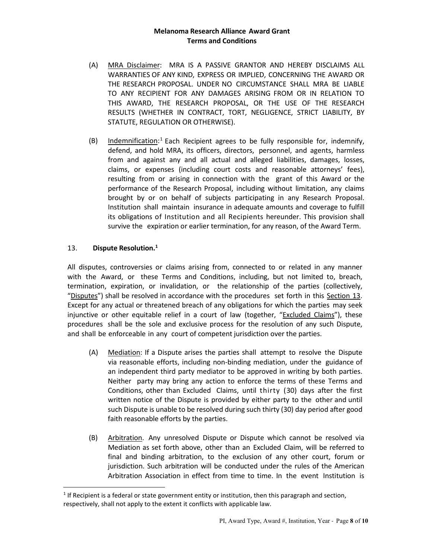- (A) MRA Disclaimer: MRA IS A PASSIVE GRANTOR AND HEREBY DISCLAIMS ALL WARRANTIES OF ANY KIND, EXPRESS OR IMPLIED, CONCERNING THE AWARD OR THE RESEARCH PROPOSAL. UNDER NO CIRCUMSTANCE SHALL MRA BE LIABLE TO ANY RECIPIENT FOR ANY DAMAGES ARISING FROM OR IN RELATION TO THIS AWARD, THE RESEARCH PROPOSAL, OR THE USE OF THE RESEARCH RESULTS (WHETHER IN CONTRACT, TORT, NEGLIGENCE, STRICT LIABILITY, BY STATUTE, REGULATION OR OTHERWISE).
- (B) Indemnification:<sup>[1](#page-7-0)</sup> Each Recipient agrees to be fully responsible for, indemnify, defend, and hold MRA, its officers, directors, personnel, and agents, harmless from and against any and all actual and alleged liabilities, damages, losses, claims, or expenses (including court costs and reasonable attorneys' fees), resulting from or arising in connection with the grant of this Award or the performance of the Research Proposal, including without limitation, any claims brought by or on behalf of subjects participating in any Research Proposal. Institution shall maintain insurance in adequate amounts and coverage to fulfill its obligations of Institution and all Recipients hereunder. This provision shall survive the expiration or earlier termination, for any reason, of the Award Term.

## 13. **Dispute Resolution.1**

All disputes, controversies or claims arising from, connected to or related in any manner with the Award, or these Terms and Conditions, including, but not limited to, breach, termination, expiration, or invalidation, or the relationship of the parties (collectively, "Disputes") shall be resolved in accordance with the procedures set forth in this Section 13. Except for any actual or threatened breach of any obligations for which the parties may seek injunctive or other equitable relief in a court of law (together, "Excluded Claims"), these procedures shall be the sole and exclusive process for the resolution of any such Dispute, and shall be enforceable in any court of competent jurisdiction over the parties.

- (A) Mediation: If a Dispute arises the parties shall attempt to resolve the Dispute via reasonable efforts, including non-binding mediation, under the guidance of an independent third party mediator to be approved in writing by both parties. Neither party may bring any action to enforce the terms of these Terms and Conditions, other than Excluded Claims, until thirty (30) days after the first written notice of the Dispute is provided by either party to the other and until such Dispute is unable to be resolved during such thirty (30) day period after good faith reasonable efforts by the parties.
- (B) Arbitration. Any unresolved Dispute or Dispute which cannot be resolved via Mediation as set forth above, other than an Excluded Claim, will be referred to final and binding arbitration, to the exclusion of any other court, forum or jurisdiction. Such arbitration will be conducted under the rules of the American Arbitration Association in effect from time to time. In the event Institution is

<span id="page-7-0"></span> $1$  If Recipient is a federal or state government entity or institution, then this paragraph and section, respectively, shall not apply to the extent it conflicts with applicable law.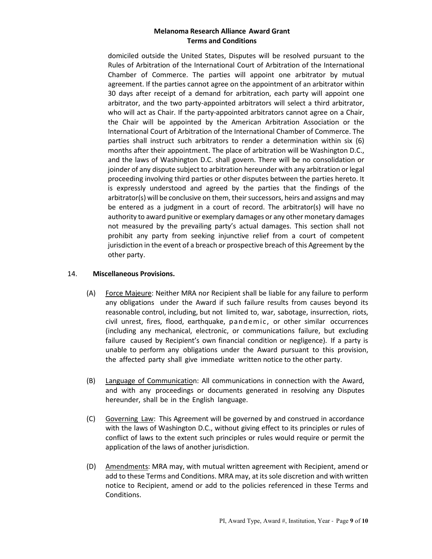domiciled outside the United States, Disputes will be resolved pursuant to the Rules of Arbitration of the International Court of Arbitration of the International Chamber of Commerce. The parties will appoint one arbitrator by mutual agreement. If the parties cannot agree on the appointment of an arbitrator within 30 days after receipt of a demand for arbitration, each party will appoint one arbitrator, and the two party-appointed arbitrators will select a third arbitrator, who will act as Chair. If the party-appointed arbitrators cannot agree on a Chair, the Chair will be appointed by the American Arbitration Association or the International Court of Arbitration of the International Chamber of Commerce. The parties shall instruct such arbitrators to render a determination within six (6) months after their appointment. The place of arbitration will be Washington D.C., and the laws of Washington D.C. shall govern. There will be no consolidation or joinder of any dispute subject to arbitration hereunder with any arbitration or legal proceeding involving third parties or other disputes between the parties hereto. It is expressly understood and agreed by the parties that the findings of the arbitrator(s) will be conclusive on them, their successors, heirs and assigns and may be entered as a judgment in a court of record. The arbitrator(s) will have no authority to award punitive or exemplary damages or any other monetary damages not measured by the prevailing party's actual damages. This section shall not prohibit any party from seeking injunctive relief from a court of competent jurisdiction in the event of a breach or prospective breach of this Agreement by the other party.

#### 14. **Miscellaneous Provisions.**

- (A) Force Majeure: Neither MRA nor Recipient shall be liable for any failure to perform any obligations under the Award if such failure results from causes beyond its reasonable control, including, but not limited to, war, sabotage, insurrection, riots, civil unrest, fires, flood, earthquake, pandemic, or other similar occurrences (including any mechanical, electronic, or communications failure, but excluding failure caused by Recipient's own financial condition or negligence). If a party is unable to perform any obligations under the Award pursuant to this provision, the affected party shall give immediate written notice to the other party.
- (B) Language of Communication: All communications in connection with the Award, and with any proceedings or documents generated in resolving any Disputes hereunder, shall be in the English language.
- (C) Governing Law: This Agreement will be governed by and construed in accordance with the laws of Washington D.C., without giving effect to its principles or rules of conflict of laws to the extent such principles or rules would require or permit the application of the laws of another jurisdiction.
- (D) Amendments: MRA may, with mutual written agreement with Recipient, amend or add to these Terms and Conditions. MRA may, at its sole discretion and with written notice to Recipient, amend or add to the policies referenced in these Terms and Conditions.